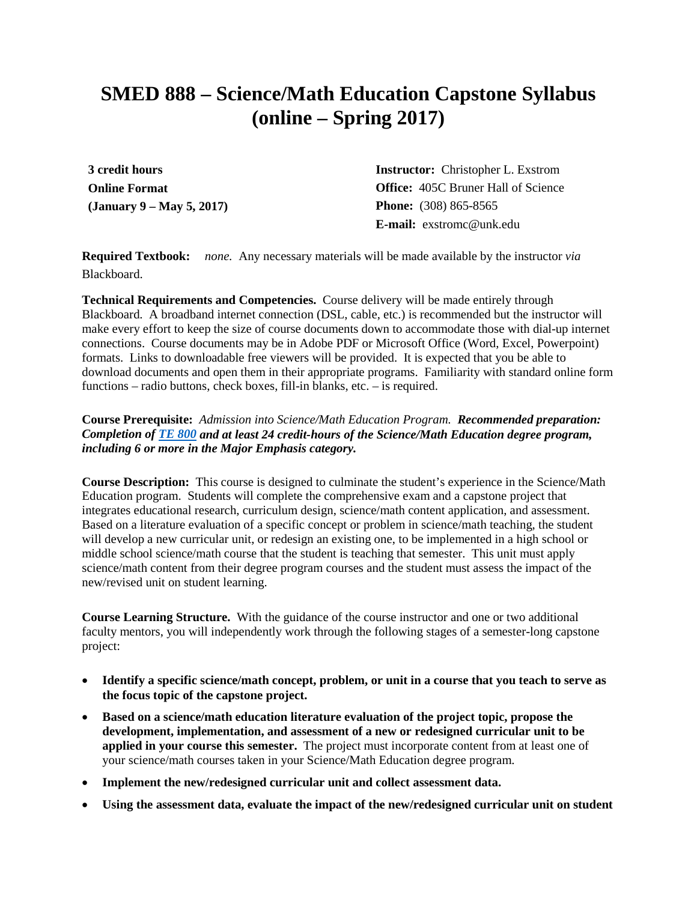# **SMED 888 – Science/Math Education Capstone Syllabus (online – Spring 2017)**

**3 credit hours Online Format (January 9 – May 5, 2017)** **Instructor:** Christopher L. Exstrom **Office:** 405C Bruner Hall of Science **Phone:** (308) 865-8565 **E-mail:** exstromc@unk.edu

**Required Textbook:** *none.* Any necessary materials will be made available by the instructor *via* Blackboard.

**Technical Requirements and Competencies.** Course delivery will be made entirely through Blackboard. A broadband internet connection (DSL, cable, etc.) is recommended but the instructor will make every effort to keep the size of course documents down to accommodate those with dial-up internet connections. Course documents may be in Adobe PDF or Microsoft Office (Word, Excel, Powerpoint) formats. Links to downloadable free viewers will be provided. It is expected that you be able to download documents and open them in their appropriate programs. Familiarity with standard online form functions – radio buttons, check boxes, fill-in blanks, etc. – is required.

#### **Course Prerequisite:** *Admission into Science/Math Education Program. Recommended preparation: Completion of [TE 800](http://aaunk.unk.edu/gradcatalogs/current/crs/crste.asp#TE800) and at least 24 credit-hours of the Science/Math Education degree program, including 6 or more in the Major Emphasis category.*

**Course Description:** This course is designed to culminate the student's experience in the Science/Math Education program. Students will complete the comprehensive exam and a capstone project that integrates educational research, curriculum design, science/math content application, and assessment. Based on a literature evaluation of a specific concept or problem in science/math teaching, the student will develop a new curricular unit, or redesign an existing one, to be implemented in a high school or middle school science/math course that the student is teaching that semester. This unit must apply science/math content from their degree program courses and the student must assess the impact of the new/revised unit on student learning.

**Course Learning Structure.** With the guidance of the course instructor and one or two additional faculty mentors, you will independently work through the following stages of a semester-long capstone project:

- **Identify a specific science/math concept, problem, or unit in a course that you teach to serve as the focus topic of the capstone project.**
- **Based on a science/math education literature evaluation of the project topic, propose the development, implementation, and assessment of a new or redesigned curricular unit to be applied in your course this semester.** The project must incorporate content from at least one of your science/math courses taken in your Science/Math Education degree program.
- **Implement the new/redesigned curricular unit and collect assessment data.**
- **Using the assessment data, evaluate the impact of the new/redesigned curricular unit on student**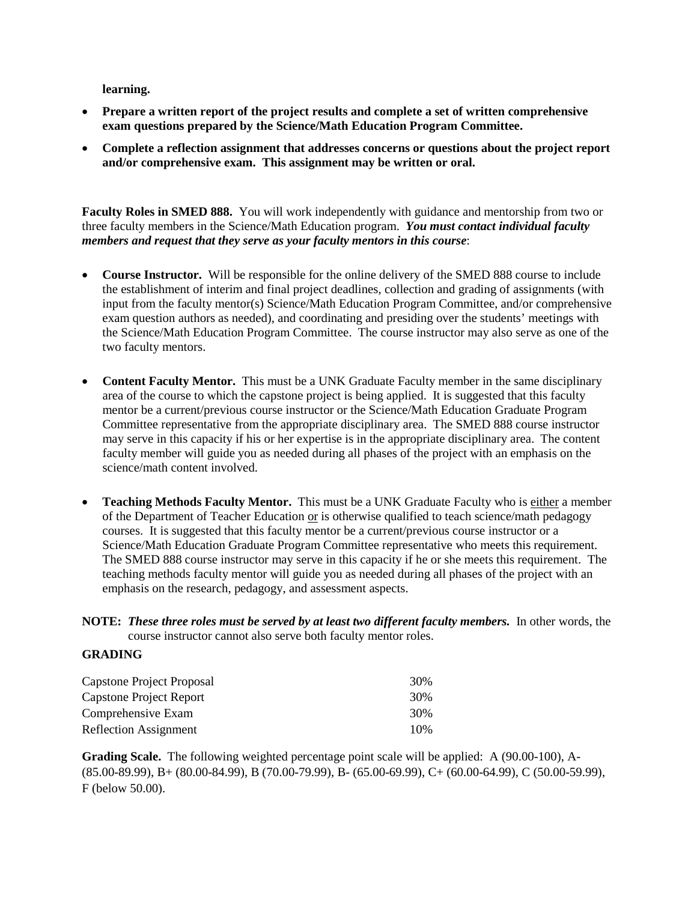**learning.**

- **Prepare a written report of the project results and complete a set of written comprehensive exam questions prepared by the Science/Math Education Program Committee.**
- **Complete a reflection assignment that addresses concerns or questions about the project report and/or comprehensive exam. This assignment may be written or oral.**

**Faculty Roles in SMED 888.** You will work independently with guidance and mentorship from two or three faculty members in the Science/Math Education program. *You must contact individual faculty members and request that they serve as your faculty mentors in this course*:

- **Course Instructor.** Will be responsible for the online delivery of the SMED 888 course to include the establishment of interim and final project deadlines, collection and grading of assignments (with input from the faculty mentor(s) Science/Math Education Program Committee, and/or comprehensive exam question authors as needed), and coordinating and presiding over the students' meetings with the Science/Math Education Program Committee. The course instructor may also serve as one of the two faculty mentors.
- **Content Faculty Mentor.** This must be a UNK Graduate Faculty member in the same disciplinary area of the course to which the capstone project is being applied. It is suggested that this faculty mentor be a current/previous course instructor or the Science/Math Education Graduate Program Committee representative from the appropriate disciplinary area. The SMED 888 course instructor may serve in this capacity if his or her expertise is in the appropriate disciplinary area. The content faculty member will guide you as needed during all phases of the project with an emphasis on the science/math content involved.
- **Teaching Methods Faculty Mentor.** This must be a UNK Graduate Faculty who is either a member of the Department of Teacher Education or is otherwise qualified to teach science/math pedagogy courses. It is suggested that this faculty mentor be a current/previous course instructor or a Science/Math Education Graduate Program Committee representative who meets this requirement. The SMED 888 course instructor may serve in this capacity if he or she meets this requirement. The teaching methods faculty mentor will guide you as needed during all phases of the project with an emphasis on the research, pedagogy, and assessment aspects.

#### **NOTE:** *These three roles must be served by at least two different faculty members.* In other words, the course instructor cannot also serve both faculty mentor roles.

#### **GRADING**

| Capstone Project Proposal    | 30% |
|------------------------------|-----|
| Capstone Project Report      | 30% |
| Comprehensive Exam           | 30% |
| <b>Reflection Assignment</b> | 10% |

**Grading Scale.** The following weighted percentage point scale will be applied: A (90.00-100), A- (85.00-89.99), B+ (80.00-84.99), B (70.00-79.99), B- (65.00-69.99), C+ (60.00-64.99), C (50.00-59.99), F (below 50.00).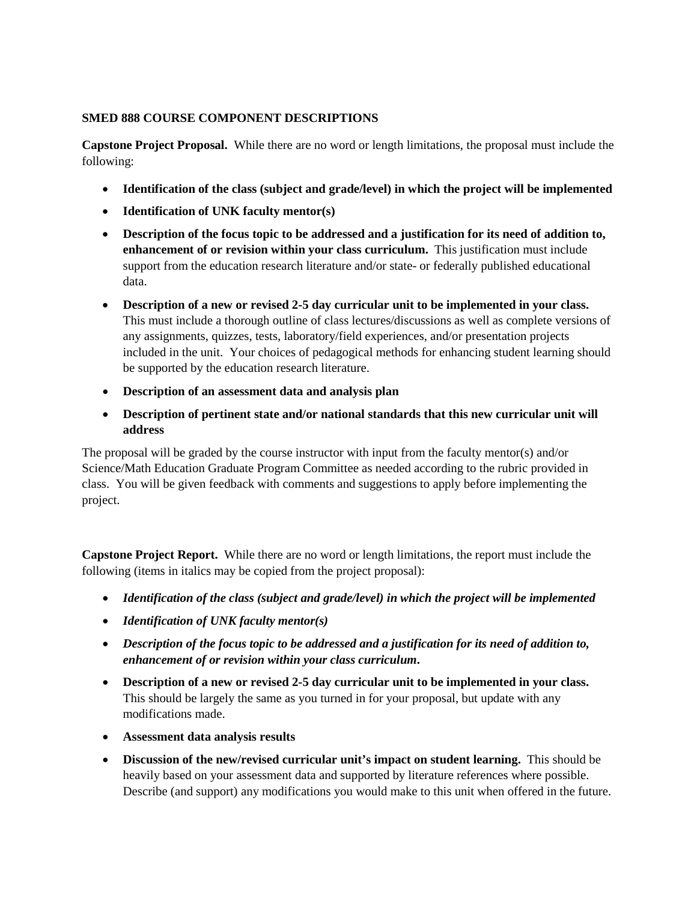### **SMED 888 COURSE COMPONENT DESCRIPTIONS**

**Capstone Project Proposal.** While there are no word or length limitations, the proposal must include the following:

- **Identification of the class (subject and grade/level) in which the project will be implemented**
- **Identification of UNK faculty mentor(s)**
- **Description of the focus topic to be addressed and a justification for its need of addition to, enhancement of or revision within your class curriculum.** This justification must include support from the education research literature and/or state- or federally published educational data.
- **Description of a new or revised 2-5 day curricular unit to be implemented in your class.** This must include a thorough outline of class lectures/discussions as well as complete versions of any assignments, quizzes, tests, laboratory/field experiences, and/or presentation projects included in the unit. Your choices of pedagogical methods for enhancing student learning should be supported by the education research literature.
- **Description of an assessment data and analysis plan**
- **Description of pertinent state and/or national standards that this new curricular unit will address**

The proposal will be graded by the course instructor with input from the faculty mentor(s) and/or Science/Math Education Graduate Program Committee as needed according to the rubric provided in class. You will be given feedback with comments and suggestions to apply before implementing the project.

**Capstone Project Report.** While there are no word or length limitations, the report must include the following (items in italics may be copied from the project proposal):

- *Identification of the class (subject and grade/level) in which the project will be implemented*
- *Identification of UNK faculty mentor(s)*
- *Description of the focus topic to be addressed and a justification for its need of addition to, enhancement of or revision within your class curriculum***.**
- **Description of a new or revised 2-5 day curricular unit to be implemented in your class.** This should be largely the same as you turned in for your proposal, but update with any modifications made.
- **Assessment data analysis results**
- **Discussion of the new/revised curricular unit's impact on student learning.** This should be heavily based on your assessment data and supported by literature references where possible. Describe (and support) any modifications you would make to this unit when offered in the future.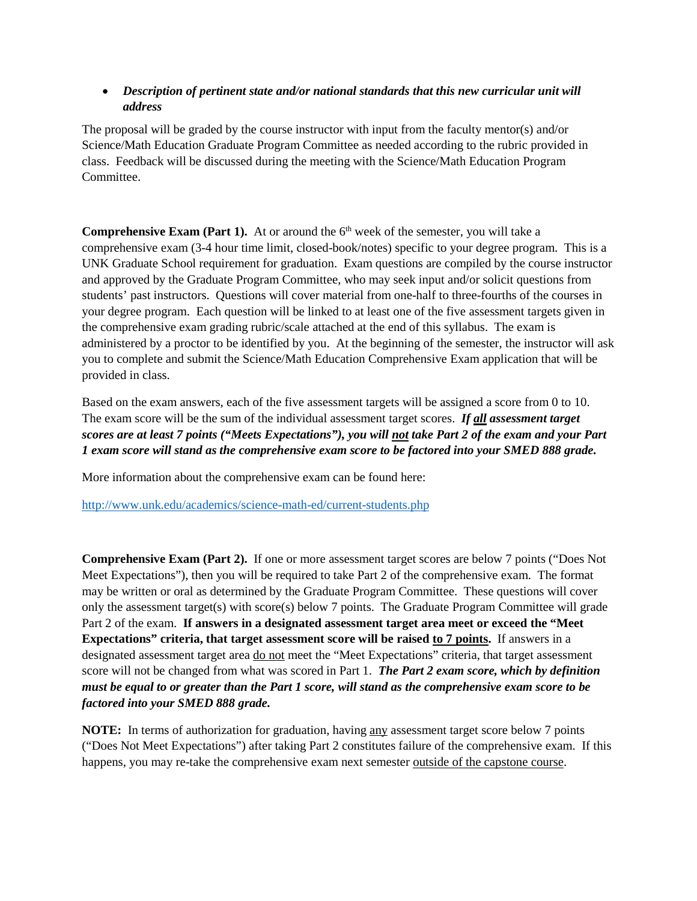## • *Description of pertinent state and/or national standards that this new curricular unit will address*

The proposal will be graded by the course instructor with input from the faculty mentor(s) and/or Science/Math Education Graduate Program Committee as needed according to the rubric provided in class. Feedback will be discussed during the meeting with the Science/Math Education Program Committee.

**Comprehensive Exam (Part 1).** At or around the 6<sup>th</sup> week of the semester, you will take a comprehensive exam (3-4 hour time limit, closed-book/notes) specific to your degree program. This is a UNK Graduate School requirement for graduation. Exam questions are compiled by the course instructor and approved by the Graduate Program Committee, who may seek input and/or solicit questions from students' past instructors. Questions will cover material from one-half to three-fourths of the courses in your degree program. Each question will be linked to at least one of the five assessment targets given in the comprehensive exam grading rubric/scale attached at the end of this syllabus. The exam is administered by a proctor to be identified by you. At the beginning of the semester, the instructor will ask you to complete and submit the Science/Math Education Comprehensive Exam application that will be provided in class.

Based on the exam answers, each of the five assessment targets will be assigned a score from 0 to 10. The exam score will be the sum of the individual assessment target scores. *If all assessment target scores are at least 7 points ("Meets Expectations"), you will not take Part 2 of the exam and your Part 1 exam score will stand as the comprehensive exam score to be factored into your SMED 888 grade.*

More information about the comprehensive exam can be found here:

<http://www.unk.edu/academics/science-math-ed/current-students.php>

**Comprehensive Exam (Part 2).** If one or more assessment target scores are below 7 points ("Does Not Meet Expectations"), then you will be required to take Part 2 of the comprehensive exam. The format may be written or oral as determined by the Graduate Program Committee. These questions will cover only the assessment target(s) with score(s) below 7 points. The Graduate Program Committee will grade Part 2 of the exam. **If answers in a designated assessment target area meet or exceed the "Meet Expectations" criteria, that target assessment score will be raised to 7 points.** If answers in a designated assessment target area <u>do not</u> meet the "Meet Expectations" criteria, that target assessment score will not be changed from what was scored in Part 1. *The Part 2 exam score, which by definition must be equal to or greater than the Part 1 score, will stand as the comprehensive exam score to be factored into your SMED 888 grade.*

**NOTE:** In terms of authorization for graduation, having any assessment target score below 7 points ("Does Not Meet Expectations") after taking Part 2 constitutes failure of the comprehensive exam. If this happens, you may re-take the comprehensive exam next semester outside of the capstone course.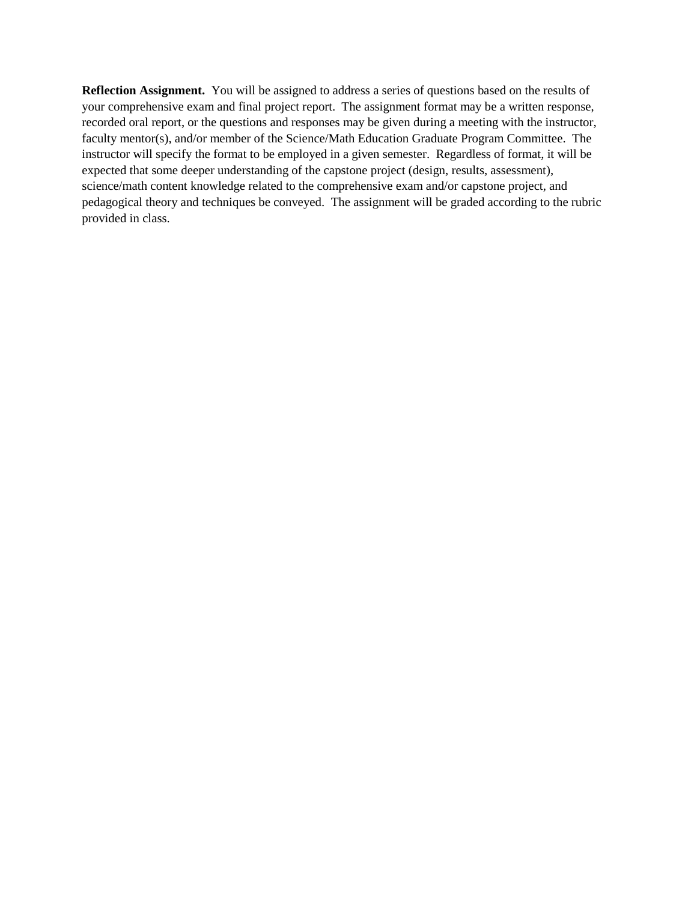**Reflection Assignment.** You will be assigned to address a series of questions based on the results of your comprehensive exam and final project report. The assignment format may be a written response, recorded oral report, or the questions and responses may be given during a meeting with the instructor, faculty mentor(s), and/or member of the Science/Math Education Graduate Program Committee. The instructor will specify the format to be employed in a given semester. Regardless of format, it will be expected that some deeper understanding of the capstone project (design, results, assessment), science/math content knowledge related to the comprehensive exam and/or capstone project, and pedagogical theory and techniques be conveyed. The assignment will be graded according to the rubric provided in class.